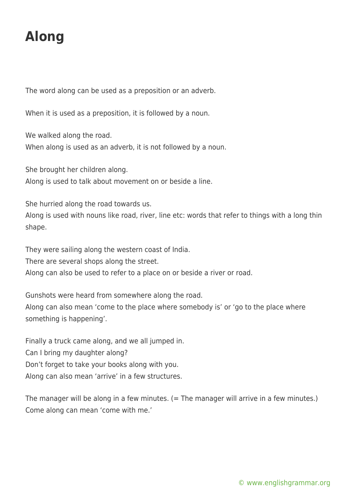## **Along**

The word along can be used as a preposition or an adverb.

When it is used as a preposition, it is followed by a noun.

We walked along the road.

When along is used as an adverb, it is not followed by a noun.

She brought her children along.

Along is used to talk about movement on or beside a line.

She hurried along the road towards us.

Along is used with nouns like road, river, line etc: words that refer to things with a long thin shape.

They were sailing along the western coast of India.

There are several shops along the street.

Along can also be used to refer to a place on or beside a river or road.

Gunshots were heard from somewhere along the road.

Along can also mean 'come to the place where somebody is' or 'go to the place where something is happening'.

Finally a truck came along, and we all jumped in. Can I bring my daughter along? Don't forget to take your books along with you. Along can also mean 'arrive' in a few structures.

The manager will be along in a few minutes. (= The manager will arrive in a few minutes.) Come along can mean 'come with me.'